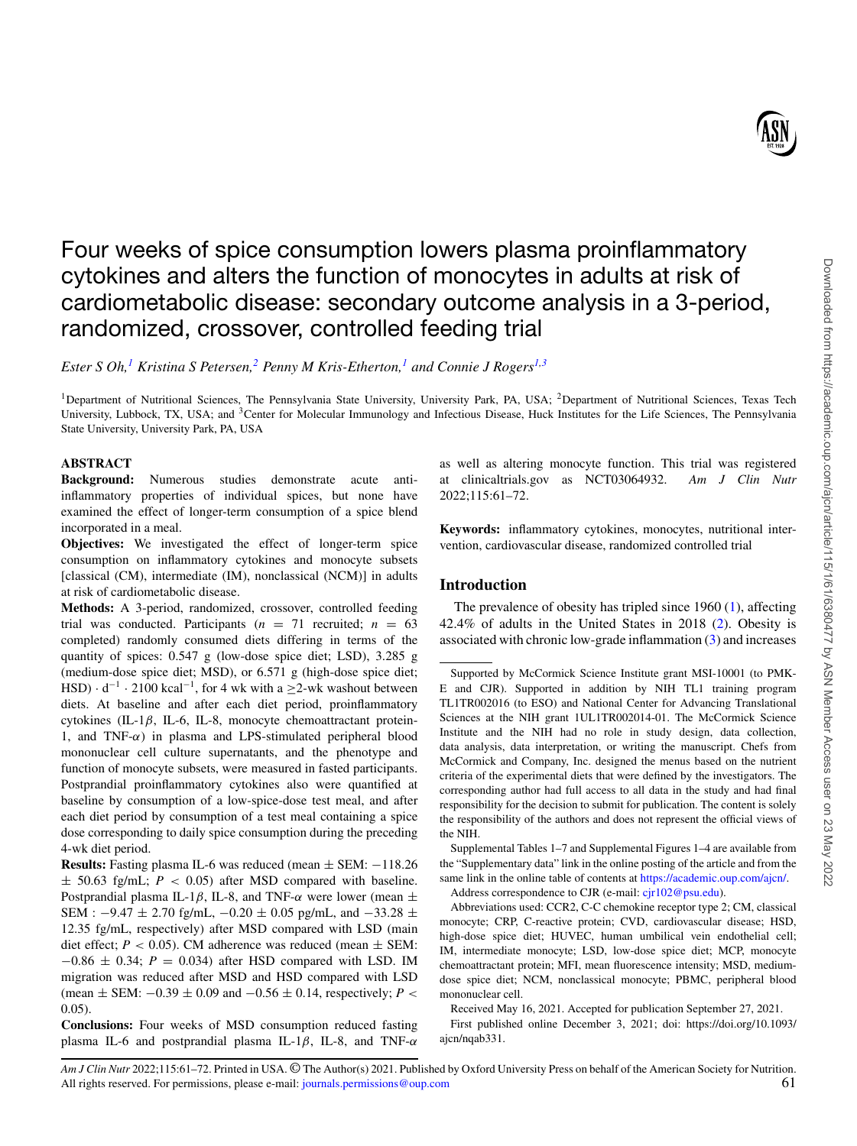

# Four weeks of spice consumption lowers plasma proinflammatory cytokines and alters the function of monocytes in adults at risk of cardiometabolic disease: secondary outcome analysis in a 3-period, randomized, crossover, controlled feeding trial

*Ester S Oh,[1](#page-0-0) Kristina S Petersen,[2](#page-0-1) Penny M Kris-Etherton,[1](#page-0-0) and Connie J Rogers[1,](#page-0-0)[3](#page-0-2)*

<span id="page-0-2"></span><span id="page-0-0"></span><sup>1</sup>Department of Nutritional Sciences, The Pennsylvania State University, University Park, PA, USA; <sup>2</sup>Department of Nutritional Sciences, Texas Tech University, Lubbock, TX, USA; and 3Center for Molecular Immunology and Infectious Disease, Huck Institutes for the Life Sciences, The Pennsylvania State University, University Park, PA, USA

# **ABSTRACT**

**Background:** Numerous studies demonstrate acute antiinflammatory properties of individual spices, but none have examined the effect of longer-term consumption of a spice blend incorporated in a meal.

**Objectives:** We investigated the effect of longer-term spice consumption on inflammatory cytokines and monocyte subsets [classical (CM), intermediate (IM), nonclassical (NCM)] in adults at risk of cardiometabolic disease.

**Methods:** A 3-period, randomized, crossover, controlled feeding trial was conducted. Participants  $(n = 71$  recruited;  $n = 63$ completed) randomly consumed diets differing in terms of the quantity of spices: 0.547 g (low-dose spice diet; LSD), 3.285 g (medium-dose spice diet; MSD), or 6.571 g (high-dose spice diet; HSD)  $\cdot$  d<sup>-1</sup>  $\cdot$  2100 kcal<sup>-1</sup>, for 4 wk with a ≥2-wk washout between diets. At baseline and after each diet period, proinflammatory cytokines (IL-1β, IL-6, IL-8, monocyte chemoattractant protein-1, and TNF- $\alpha$ ) in plasma and LPS-stimulated peripheral blood mononuclear cell culture supernatants, and the phenotype and function of monocyte subsets, were measured in fasted participants. Postprandial proinflammatory cytokines also were quantified at baseline by consumption of a low-spice-dose test meal, and after each diet period by consumption of a test meal containing a spice dose corresponding to daily spice consumption during the preceding 4-wk diet period.

**Results:** Fasting plasma IL-6 was reduced (mean ± SEM: −118.26  $\pm$  50.63 fg/mL;  $P < 0.05$ ) after MSD compared with baseline. Postprandial plasma IL-1β, IL-8, and TNF- $\alpha$  were lower (mean  $\pm$ SEM :  $-9.47 \pm 2.70$  fg/mL,  $-0.20 \pm 0.05$  pg/mL, and  $-33.28 \pm 0.05$ 12.35 fg/mL, respectively) after MSD compared with LSD (main diet effect;  $P < 0.05$ ). CM adherence was reduced (mean  $\pm$  SEM:  $-0.86 \pm 0.34$ ;  $P = 0.034$ ) after HSD compared with LSD. IM migration was reduced after MSD and HSD compared with LSD (mean  $\pm$  SEM:  $-0.39 \pm 0.09$  and  $-0.56 \pm 0.14$ , respectively; *P* < 0.05).

**Conclusions:** Four weeks of MSD consumption reduced fasting plasma IL-6 and postprandial plasma IL-1 $\beta$ , IL-8, and TNF- $\alpha$ 

<span id="page-0-1"></span>as well as altering monocyte function. This trial was registered at clinicaltrials.gov as NCT03064932. *Am J Clin Nutr* 2022;115:61–72.

**Keywords:** inflammatory cytokines, monocytes, nutritional intervention, cardiovascular disease, randomized controlled trial

# **Introduction**

The prevalence of obesity has tripled since 1960 [\(1\)](#page-10-0), affecting 42.4% of adults in the United States in 2018 [\(2\)](#page-10-1). Obesity is associated with chronic low-grade inflammation [\(3\)](#page-10-2) and increases

Supplemental Tables 1–7 and Supplemental Figures 1–4 are available from the "Supplementary data" link in the online posting of the article and from the same link in the online table of contents at [https://academic.oup.com/ajcn/.](https://academic.oup.com/ajcn/) Address correspondence to CJR (e-mail: [cjr102@psu.edu\)](mailto:cjr102@psu.edu).

Abbreviations used: CCR2, C-C chemokine receptor type 2; CM, classical monocyte; CRP, C-reactive protein; CVD, cardiovascular disease; HSD, high-dose spice diet; HUVEC, human umbilical vein endothelial cell; IM, intermediate monocyte; LSD, low-dose spice diet; MCP, monocyte chemoattractant protein; MFI, mean fluorescence intensity; MSD, mediumdose spice diet; NCM, nonclassical monocyte; PBMC, peripheral blood mononuclear cell.

Received May 16, 2021. Accepted for publication September 27, 2021.

First published online December 3, 2021; doi: https://doi.org/10.1093/ ajcn/nqab331.

Supported by McCormick Science Institute grant MSI-10001 (to PMK-E and CJR). Supported in addition by NIH TL1 training program TL1TR002016 (to ESO) and National Center for Advancing Translational Sciences at the NIH grant 1UL1TR002014-01. The McCormick Science Institute and the NIH had no role in study design, data collection, data analysis, data interpretation, or writing the manuscript. Chefs from McCormick and Company, Inc. designed the menus based on the nutrient criteria of the experimental diets that were defined by the investigators. The corresponding author had full access to all data in the study and had final responsibility for the decision to submit for publication. The content is solely the responsibility of the authors and does not represent the official views of the NIH.

*Am J Clin Nutr* 2022;115:61–72. Printed in USA. © The Author(s) 2021. Published by Oxford University Press on behalf of the American Society for Nutrition. All rights reserved. For permissions, please e-mail: [journals.permissions@oup.com](mailto:journals.permissions@oup.com) 61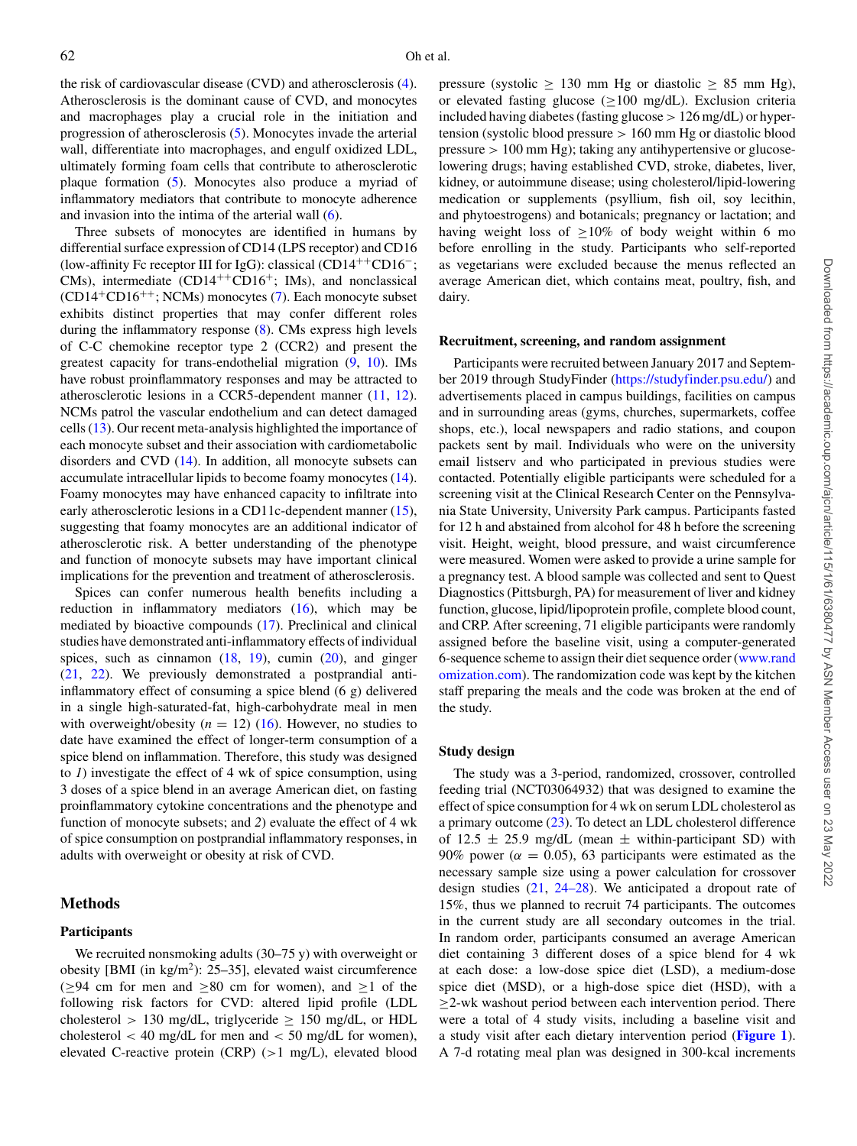the risk of cardiovascular disease (CVD) and atherosclerosis [\(4\)](#page-10-3). Atherosclerosis is the dominant cause of CVD, and monocytes and macrophages play a crucial role in the initiation and progression of atherosclerosis [\(5\)](#page-10-4). Monocytes invade the arterial wall, differentiate into macrophages, and engulf oxidized LDL, ultimately forming foam cells that contribute to atherosclerotic plaque formation [\(5\)](#page-10-4). Monocytes also produce a myriad of inflammatory mediators that contribute to monocyte adherence and invasion into the intima of the arterial wall [\(6\)](#page-10-5).

Three subsets of monocytes are identified in humans by differential surface expression of CD14 (LPS receptor) and CD16 (low-affinity Fc receptor III for IgG): classical (CD14++CD16−; CMs), intermediate  $(CD14^{++}CD16^+;$  IMs), and nonclassical  $(CD14+CD16++; NCMs)$  monocytes [\(7\)](#page-10-6). Each monocyte subset exhibits distinct properties that may confer different roles during the inflammatory response [\(8\)](#page-10-7). CMs express high levels of C-C chemokine receptor type 2 (CCR2) and present the greatest capacity for trans-endothelial migration [\(9,](#page-10-8) [10\)](#page-10-9). IMs have robust proinflammatory responses and may be attracted to atherosclerotic lesions in a CCR5-dependent manner [\(11,](#page-10-10) [12\)](#page-10-11). NCMs patrol the vascular endothelium and can detect damaged cells [\(13\)](#page-10-12). Our recent meta-analysis highlighted the importance of each monocyte subset and their association with cardiometabolic disorders and CVD [\(14\)](#page-10-13). In addition, all monocyte subsets can accumulate intracellular lipids to become foamy monocytes [\(14\)](#page-10-13). Foamy monocytes may have enhanced capacity to infiltrate into early atherosclerotic lesions in a CD11c-dependent manner [\(15\)](#page-10-14), suggesting that foamy monocytes are an additional indicator of atherosclerotic risk. A better understanding of the phenotype and function of monocyte subsets may have important clinical implications for the prevention and treatment of atherosclerosis.

Spices can confer numerous health benefits including a reduction in inflammatory mediators [\(16\)](#page-10-15), which may be mediated by bioactive compounds [\(17\)](#page-10-16). Preclinical and clinical studies have demonstrated anti-inflammatory effects of individual spices, such as cinnamon  $(18, 19)$  $(18, 19)$  $(18, 19)$ , cumin  $(20)$ , and ginger [\(21,](#page-10-20) [22\)](#page-10-21). We previously demonstrated a postprandial antiinflammatory effect of consuming a spice blend (6 g) delivered in a single high-saturated-fat, high-carbohydrate meal in men with overweight/obesity  $(n = 12)$  [\(16\)](#page-10-15). However, no studies to date have examined the effect of longer-term consumption of a spice blend on inflammation. Therefore, this study was designed to *1*) investigate the effect of 4 wk of spice consumption, using 3 doses of a spice blend in an average American diet, on fasting proinflammatory cytokine concentrations and the phenotype and function of monocyte subsets; and *2*) evaluate the effect of 4 wk of spice consumption on postprandial inflammatory responses, in adults with overweight or obesity at risk of CVD.

## **Methods**

# **Participants**

We recruited nonsmoking adults (30–75 y) with overweight or obesity [BMI (in kg/m2): 25–35], elevated waist circumference ( $≥$ 94 cm for men and  $≥$ 80 cm for women), and  $≥$ 1 of the following risk factors for CVD: altered lipid profile (LDL cholesterol > 130 mg/dL, triglyceride  $\geq$  150 mg/dL, or HDL cholesterol  $<$  40 mg/dL for men and  $<$  50 mg/dL for women), elevated C-reactive protein (CRP) (>1 mg/L), elevated blood

pressure (systolic  $\geq$  130 mm Hg or diastolic  $\geq$  85 mm Hg), or elevated fasting glucose ( $\geq$ 100 mg/dL). Exclusion criteria included having diabetes (fasting glucose > 126 mg/dL) or hypertension (systolic blood pressure > 160 mm Hg or diastolic blood pressure > 100 mm Hg); taking any antihypertensive or glucoselowering drugs; having established CVD, stroke, diabetes, liver, kidney, or autoimmune disease; using cholesterol/lipid-lowering medication or supplements (psyllium, fish oil, soy lecithin, and phytoestrogens) and botanicals; pregnancy or lactation; and having weight loss of  $\geq 10\%$  of body weight within 6 mo before enrolling in the study. Participants who self-reported as vegetarians were excluded because the menus reflected an average American diet, which contains meat, poultry, fish, and dairy.

#### **Recruitment, screening, and random assignment**

Participants were recruited between January 2017 and September 2019 through StudyFinder [\(https://studyfinder.psu.edu/\)](https://studyfinder.psu.edu/) and advertisements placed in campus buildings, facilities on campus and in surrounding areas (gyms, churches, supermarkets, coffee shops, etc.), local newspapers and radio stations, and coupon packets sent by mail. Individuals who were on the university email listserv and who participated in previous studies were contacted. Potentially eligible participants were scheduled for a screening visit at the Clinical Research Center on the Pennsylvania State University, University Park campus. Participants fasted for 12 h and abstained from alcohol for 48 h before the screening visit. Height, weight, blood pressure, and waist circumference were measured. Women were asked to provide a urine sample for a pregnancy test. A blood sample was collected and sent to Quest Diagnostics (Pittsburgh, PA) for measurement of liver and kidney function, glucose, lipid/lipoprotein profile, complete blood count, and CRP. After screening, 71 eligible participants were randomly assigned before the baseline visit, using a computer-generated 6-sequence scheme to assign their diet sequence order (www.rand [omization.com\). The randomization code was kept by the kitchen](http://www.randomization.com) staff preparing the meals and the code was broken at the end of the study.

#### **Study design**

The study was a 3-period, randomized, crossover, controlled feeding trial (NCT03064932) that was designed to examine the effect of spice consumption for 4 wk on serum LDL cholesterol as a primary outcome [\(23\)](#page-10-22). To detect an LDL cholesterol difference of 12.5  $\pm$  25.9 mg/dL (mean  $\pm$  within-participant SD) with 90% power ( $\alpha = 0.05$ ), 63 participants were estimated as the necessary sample size using a power calculation for crossover design studies [\(21,](#page-10-20) [24–28\)](#page-10-23). We anticipated a dropout rate of 15%, thus we planned to recruit 74 participants. The outcomes in the current study are all secondary outcomes in the trial. In random order, participants consumed an average American diet containing 3 different doses of a spice blend for 4 wk at each dose: a low-dose spice diet (LSD), a medium-dose spice diet (MSD), or a high-dose spice diet (HSD), with a  $\geq$ 2-wk washout period between each intervention period. There were a total of 4 study visits, including a baseline visit and a study visit after each dietary intervention period (**[Figure 1](#page-2-0)**). A 7-d rotating meal plan was designed in 300-kcal increments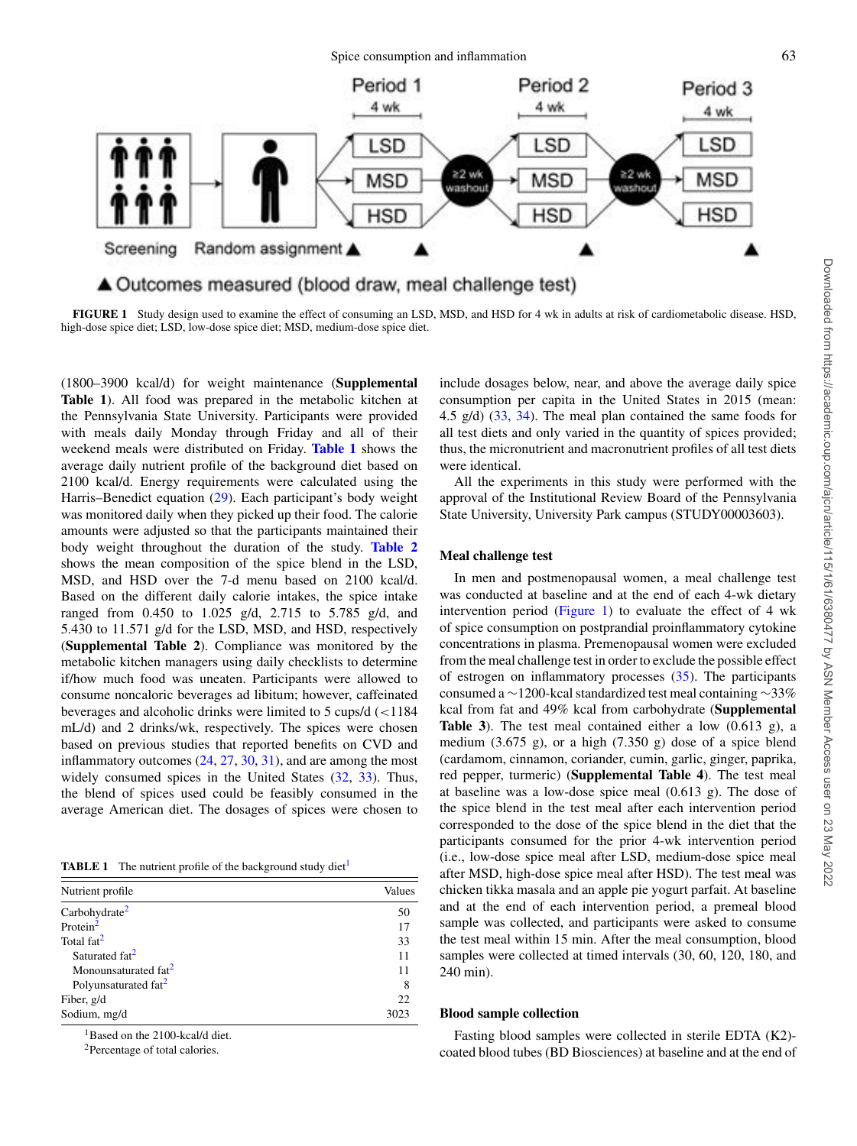<span id="page-2-0"></span>

**FIGURE 1** Study design used to examine the effect of consuming an LSD, MSD, and HSD for 4 wk in adults at risk of cardiometabolic disease. HSD, high-dose spice diet; LSD, low-dose spice diet; MSD, medium-dose spice diet.

(1800–3900 kcal/d) for weight maintenance (**Supplemental Table 1**). All food was prepared in the metabolic kitchen at the Pennsylvania State University. Participants were provided with meals daily Monday through Friday and all of their weekend meals were distributed on Friday. **[Table 1](#page-2-1)** shows the average daily nutrient profile of the background diet based on 2100 kcal/d. Energy requirements were calculated using the Harris–Benedict equation [\(29\)](#page-10-24). Each participant's body weight was monitored daily when they picked up their food. The calorie amounts were adjusted so that the participants maintained their body weight throughout the duration of the study. **[Table 2](#page-3-0)** shows the mean composition of the spice blend in the LSD, MSD, and HSD over the 7-d menu based on 2100 kcal/d. Based on the different daily calorie intakes, the spice intake ranged from 0.450 to 1.025 g/d, 2.715 to 5.785 g/d, and 5.430 to 11.571 g/d for the LSD, MSD, and HSD, respectively (**Supplemental Table 2**). Compliance was monitored by the metabolic kitchen managers using daily checklists to determine if/how much food was uneaten. Participants were allowed to consume noncaloric beverages ad libitum; however, caffeinated beverages and alcoholic drinks were limited to 5 cups/d (<1184 mL/d) and 2 drinks/wk, respectively. The spices were chosen based on previous studies that reported benefits on CVD and inflammatory outcomes [\(24,](#page-10-23) [27,](#page-10-25) [30,](#page-10-26) [31\)](#page-10-27), and are among the most widely consumed spices in the United States [\(32,](#page-10-28) [33\)](#page-10-29). Thus, the blend of spices used could be feasibly consumed in the average American diet. The dosages of spices were chosen to

<span id="page-2-1"></span>**TABLE [1](#page-2-2)** The nutrient profile of the background study diet<sup>1</sup>

| Nutrient profile                 | Values |
|----------------------------------|--------|
| Carbohydrate <sup>2</sup>        | 50     |
| Protein $2$                      | 17     |
| Total fat <sup>2</sup>           | 33     |
| Saturated fat <sup>2</sup>       | 11     |
| Monounsaturated fat <sup>2</sup> | 11     |
| Polyunsaturated fat <sup>2</sup> | 8      |
| Fiber, g/d                       | 22     |
| Sodium, mg/d                     | 3023   |

<span id="page-2-2"></span><sup>1</sup>Based on the 2100-kcal/d diet.

<span id="page-2-3"></span>2Percentage of total calories.

include dosages below, near, and above the average daily spice consumption per capita in the United States in 2015 (mean: 4.5 g/d) [\(33,](#page-10-29) [34\)](#page-11-0). The meal plan contained the same foods for all test diets and only varied in the quantity of spices provided; thus, the micronutrient and macronutrient profiles of all test diets were identical.

All the experiments in this study were performed with the approval of the Institutional Review Board of the Pennsylvania State University, University Park campus (STUDY00003603).

#### **Meal challenge test**

In men and postmenopausal women, a meal challenge test was conducted at baseline and at the end of each 4-wk dietary intervention period [\(Figure 1\)](#page-2-0) to evaluate the effect of 4 wk of spice consumption on postprandial proinflammatory cytokine concentrations in plasma. Premenopausal women were excluded from the meal challenge test in order to exclude the possible effect of estrogen on inflammatory processes [\(35\)](#page-11-1). The participants consumed a ∼1200-kcal standardized test meal containing ∼33% kcal from fat and 49% kcal from carbohydrate (**Supplemental Table 3**). The test meal contained either a low (0.613 g), a medium (3.675 g), or a high (7.350 g) dose of a spice blend (cardamom, cinnamon, coriander, cumin, garlic, ginger, paprika, red pepper, turmeric) (**Supplemental Table 4**). The test meal at baseline was a low-dose spice meal (0.613 g). The dose of the spice blend in the test meal after each intervention period corresponded to the dose of the spice blend in the diet that the participants consumed for the prior 4-wk intervention period (i.e., low-dose spice meal after LSD, medium-dose spice meal after MSD, high-dose spice meal after HSD). The test meal was chicken tikka masala and an apple pie yogurt parfait. At baseline and at the end of each intervention period, a premeal blood sample was collected, and participants were asked to consume the test meal within 15 min. After the meal consumption, blood samples were collected at timed intervals (30, 60, 120, 180, and 240 min).

## **Blood sample collection**

Fasting blood samples were collected in sterile EDTA (K2) coated blood tubes (BD Biosciences) at baseline and at the end of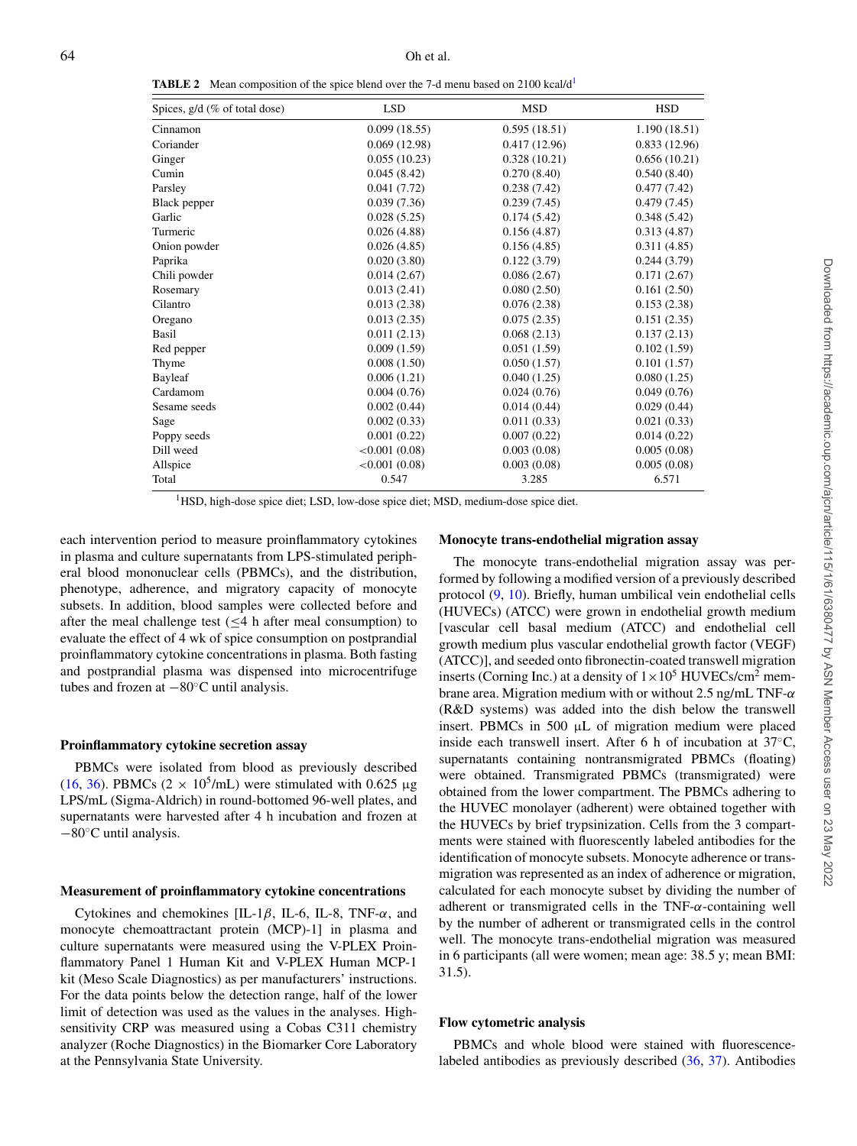<span id="page-3-0"></span>**TABLE 2** Mean composition of the spice blend over the 7-d menu based on 2100 kcal/d<sup>1</sup>

| Spices, g/d (% of total dose) | <b>LSD</b>    | <b>MSD</b>   | <b>HSD</b>    |
|-------------------------------|---------------|--------------|---------------|
| Cinnamon                      | 0.099(18.55)  | 0.595(18.51) | 1.190 (18.51) |
| Coriander                     | 0.069(12.98)  | 0.417(12.96) | 0.833(12.96)  |
| Ginger                        | 0.055(10.23)  | 0.328(10.21) | 0.656(10.21)  |
| Cumin                         | 0.045(8.42)   | 0.270(8.40)  | 0.540(8.40)   |
| Parsley                       | 0.041(7.72)   | 0.238(7.42)  | 0.477(7.42)   |
| Black pepper                  | 0.039(7.36)   | 0.239(7.45)  | 0.479(7.45)   |
| Garlic                        | 0.028(5.25)   | 0.174(5.42)  | 0.348(5.42)   |
| Turmeric                      | 0.026(4.88)   | 0.156(4.87)  | 0.313(4.87)   |
| Onion powder                  | 0.026(4.85)   | 0.156(4.85)  | 0.311(4.85)   |
| Paprika                       | 0.020(3.80)   | 0.122(3.79)  | 0.244(3.79)   |
| Chili powder                  | 0.014(2.67)   | 0.086(2.67)  | 0.171(2.67)   |
| Rosemary                      | 0.013(2.41)   | 0.080(2.50)  | 0.161(2.50)   |
| Cilantro                      | 0.013(2.38)   | 0.076(2.38)  | 0.153(2.38)   |
| Oregano                       | 0.013(2.35)   | 0.075(2.35)  | 0.151(2.35)   |
| Basil                         | 0.011(2.13)   | 0.068(2.13)  | 0.137(2.13)   |
| Red pepper                    | 0.009(1.59)   | 0.051(1.59)  | 0.102(1.59)   |
| Thyme                         | 0.008(1.50)   | 0.050(1.57)  | 0.101(1.57)   |
| Bayleaf                       | 0.006(1.21)   | 0.040(1.25)  | 0.080(1.25)   |
| Cardamom                      | 0.004(0.76)   | 0.024(0.76)  | 0.049(0.76)   |
| Sesame seeds                  | 0.002(0.44)   | 0.014(0.44)  | 0.029(0.44)   |
| Sage                          | 0.002(0.33)   | 0.011(0.33)  | 0.021(0.33)   |
| Poppy seeds                   | 0.001(0.22)   | 0.007(0.22)  | 0.014(0.22)   |
| Dill weed                     | < 0.001(0.08) | 0.003(0.08)  | 0.005(0.08)   |
| Allspice                      | < 0.001(0.08) | 0.003(0.08)  | 0.005(0.08)   |
| Total                         | 0.547         | 3.285        | 6.571         |

<sup>1</sup>HSD, high-dose spice diet; LSD, low-dose spice diet; MSD, medium-dose spice diet.

<span id="page-3-1"></span>each intervention period to measure proinflammatory cytokines in plasma and culture supernatants from LPS-stimulated peripheral blood mononuclear cells (PBMCs), and the distribution, phenotype, adherence, and migratory capacity of monocyte subsets. In addition, blood samples were collected before and after the meal challenge test ( $\leq$ 4 h after meal consumption) to evaluate the effect of 4 wk of spice consumption on postprandial proinflammatory cytokine concentrations in plasma. Both fasting and postprandial plasma was dispensed into microcentrifuge tubes and frozen at −80◦C until analysis.

#### **Proinflammatory cytokine secretion assay**

PBMCs were isolated from blood as previously described [\(16,](#page-10-15) [36\)](#page-11-2). PBMCs ( $2 \times 10^5$ /mL) were stimulated with 0.625 μg LPS/mL (Sigma-Aldrich) in round-bottomed 96-well plates, and supernatants were harvested after 4 h incubation and frozen at −80◦C until analysis.

#### **Measurement of proinflammatory cytokine concentrations**

Cytokines and chemokines  $[IL-1\beta, IL-6, IL-8, TNF-\alpha, and$ monocyte chemoattractant protein (MCP)-1] in plasma and culture supernatants were measured using the V-PLEX Proinflammatory Panel 1 Human Kit and V-PLEX Human MCP-1 kit (Meso Scale Diagnostics) as per manufacturers' instructions. For the data points below the detection range, half of the lower limit of detection was used as the values in the analyses. Highsensitivity CRP was measured using a Cobas C311 chemistry analyzer (Roche Diagnostics) in the Biomarker Core Laboratory at the Pennsylvania State University.

## **Monocyte trans-endothelial migration assay**

The monocyte trans-endothelial migration assay was performed by following a modified version of a previously described protocol [\(9,](#page-10-8) [10\)](#page-10-9). Briefly, human umbilical vein endothelial cells (HUVECs) (ATCC) were grown in endothelial growth medium [vascular cell basal medium (ATCC) and endothelial cell growth medium plus vascular endothelial growth factor (VEGF) (ATCC)], and seeded onto fibronectin-coated transwell migration inserts (Corning Inc.) at a density of  $1 \times 10^5$  HUVECs/cm<sup>2</sup> membrane area. Migration medium with or without 2.5 ng/mL TNF- $\alpha$ (R&D systems) was added into the dish below the transwell insert. PBMCs in 500 μL of migration medium were placed inside each transwell insert. After 6 h of incubation at 37◦C, supernatants containing nontransmigrated PBMCs (floating) were obtained. Transmigrated PBMCs (transmigrated) were obtained from the lower compartment. The PBMCs adhering to the HUVEC monolayer (adherent) were obtained together with the HUVECs by brief trypsinization. Cells from the 3 compartments were stained with fluorescently labeled antibodies for the identification of monocyte subsets. Monocyte adherence or transmigration was represented as an index of adherence or migration, calculated for each monocyte subset by dividing the number of adherent or transmigrated cells in the TNF-α-containing well by the number of adherent or transmigrated cells in the control well. The monocyte trans-endothelial migration was measured in 6 participants (all were women; mean age: 38.5 y; mean BMI: 31.5).

## **Flow cytometric analysis**

PBMCs and whole blood were stained with fluorescencelabeled antibodies as previously described [\(36,](#page-11-2) [37\)](#page-11-3). Antibodies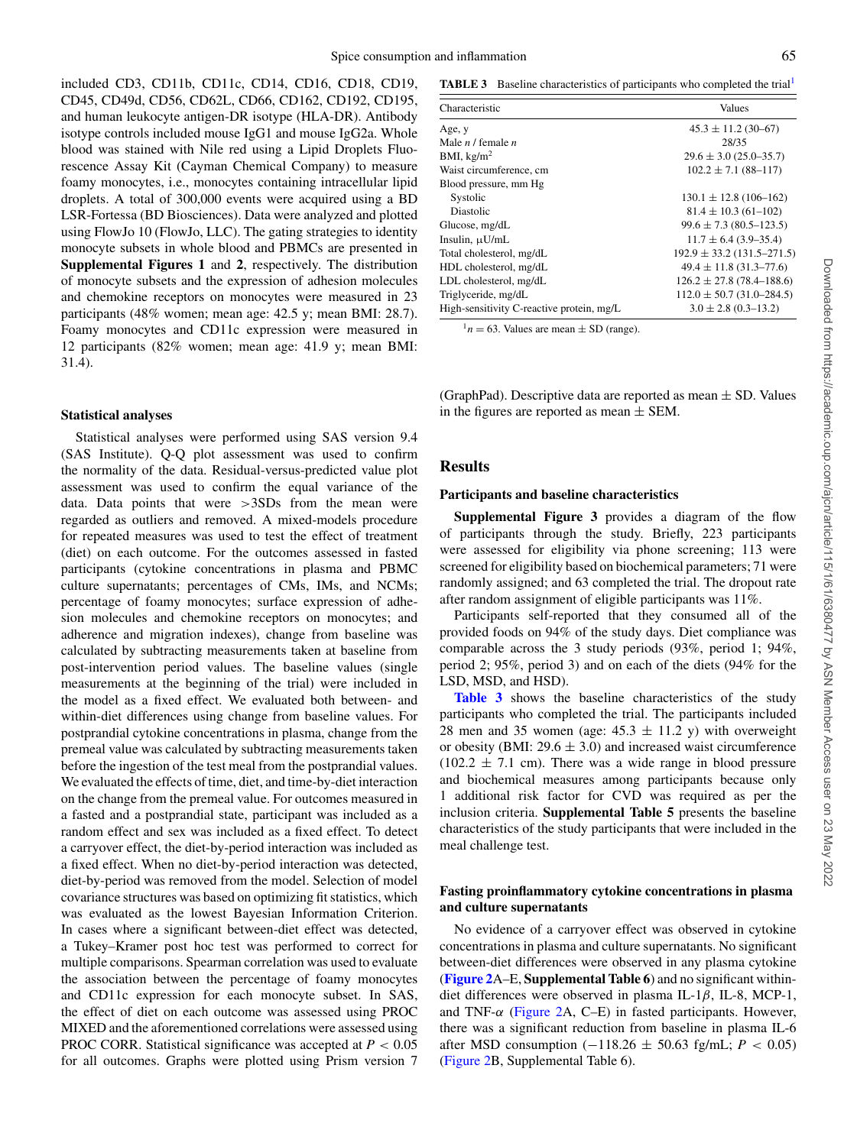included CD3, CD11b, CD11c, CD14, CD16, CD18, CD19, CD45, CD49d, CD56, CD62L, CD66, CD162, CD192, CD195, and human leukocyte antigen-DR isotype (HLA-DR). Antibody isotype controls included mouse IgG1 and mouse IgG2a. Whole blood was stained with Nile red using a Lipid Droplets Fluorescence Assay Kit (Cayman Chemical Company) to measure foamy monocytes, i.e., monocytes containing intracellular lipid droplets. A total of 300,000 events were acquired using a BD LSR-Fortessa (BD Biosciences). Data were analyzed and plotted using FlowJo 10 (FlowJo, LLC). The gating strategies to identity monocyte subsets in whole blood and PBMCs are presented in **Supplemental Figures 1** and **2**, respectively. The distribution of monocyte subsets and the expression of adhesion molecules and chemokine receptors on monocytes were measured in 23 participants (48% women; mean age: 42.5 y; mean BMI: 28.7). Foamy monocytes and CD11c expression were measured in 12 participants (82% women; mean age: 41.9 y; mean BMI: 31.4).

#### **Statistical analyses**

Statistical analyses were performed using SAS version 9.4 (SAS Institute). Q-Q plot assessment was used to confirm the normality of the data. Residual-versus-predicted value plot assessment was used to confirm the equal variance of the data. Data points that were >3SDs from the mean were regarded as outliers and removed. A mixed-models procedure for repeated measures was used to test the effect of treatment (diet) on each outcome. For the outcomes assessed in fasted participants (cytokine concentrations in plasma and PBMC culture supernatants; percentages of CMs, IMs, and NCMs; percentage of foamy monocytes; surface expression of adhesion molecules and chemokine receptors on monocytes; and adherence and migration indexes), change from baseline was calculated by subtracting measurements taken at baseline from post-intervention period values. The baseline values (single measurements at the beginning of the trial) were included in the model as a fixed effect. We evaluated both between- and within-diet differences using change from baseline values. For postprandial cytokine concentrations in plasma, change from the premeal value was calculated by subtracting measurements taken before the ingestion of the test meal from the postprandial values. We evaluated the effects of time, diet, and time-by-diet interaction on the change from the premeal value. For outcomes measured in a fasted and a postprandial state, participant was included as a random effect and sex was included as a fixed effect. To detect a carryover effect, the diet-by-period interaction was included as a fixed effect. When no diet-by-period interaction was detected, diet-by-period was removed from the model. Selection of model covariance structures was based on optimizing fit statistics, which was evaluated as the lowest Bayesian Information Criterion. In cases where a significant between-diet effect was detected, a Tukey–Kramer post hoc test was performed to correct for multiple comparisons. Spearman correlation was used to evaluate the association between the percentage of foamy monocytes and CD11c expression for each monocyte subset. In SAS, the effect of diet on each outcome was assessed using PROC MIXED and the aforementioned correlations were assessed using PROC CORR. Statistical significance was accepted at *P* < 0.05 for all outcomes. Graphs were plotted using Prism version 7

<span id="page-4-1"></span>**TABLE 3** Baseline characteristics of participants who completed the trial<sup>1</sup>

| Characteristic                            | Values                         |
|-------------------------------------------|--------------------------------|
| Age, y                                    | $45.3 \pm 11.2$ (30–67)        |
| Male $n/$ female $n$                      | 28/35                          |
| BMI, $\text{kg/m}^2$                      | $29.6 \pm 3.0$ (25.0–35.7)     |
| Waist circumference, cm                   | $102.2 \pm 7.1 (88 - 117)$     |
| Blood pressure, mm Hg                     |                                |
| Systolic                                  | $130.1 \pm 12.8$ (106–162)     |
| Diastolic                                 | $81.4 \pm 10.3$ (61-102)       |
| Glucose, mg/dL                            | $99.6 \pm 7.3$ (80.5–123.5)    |
| Insulin, µU/mL                            | $11.7 \pm 6.4$ (3.9–35.4)      |
| Total cholesterol, mg/dL                  | $192.9 \pm 33.2$ (131.5–271.5) |
| HDL cholesterol, mg/dL                    | $49.4 \pm 11.8$ (31.3–77.6)    |
| LDL cholesterol, mg/dL                    | $126.2 \pm 27.8$ (78.4–188.6)  |
| Triglyceride, mg/dL                       | $112.0 \pm 50.7(31.0 - 284.5)$ |
| High-sensitivity C-reactive protein, mg/L | $3.0 \pm 2.8$ (0.3–13.2)       |

<span id="page-4-0"></span> $1n = 63$ . Values are mean  $\pm$  SD (range).

(GraphPad). Descriptive data are reported as mean  $\pm$  SD. Values in the figures are reported as mean  $\pm$  SEM.

## **Results**

#### **Participants and baseline characteristics**

**Supplemental Figure 3** provides a diagram of the flow of participants through the study. Briefly, 223 participants were assessed for eligibility via phone screening; 113 were screened for eligibility based on biochemical parameters; 71 were randomly assigned; and 63 completed the trial. The dropout rate after random assignment of eligible participants was 11%.

Participants self-reported that they consumed all of the provided foods on 94% of the study days. Diet compliance was comparable across the 3 study periods (93%, period 1; 94%, period 2; 95%, period 3) and on each of the diets (94% for the LSD, MSD, and HSD).

**[Table 3](#page-4-1)** shows the baseline characteristics of the study participants who completed the trial. The participants included 28 men and 35 women (age:  $45.3 \pm 11.2$  y) with overweight or obesity (BMI:  $29.6 \pm 3.0$ ) and increased waist circumference  $(102.2 \pm 7.1 \text{ cm})$ . There was a wide range in blood pressure and biochemical measures among participants because only 1 additional risk factor for CVD was required as per the inclusion criteria. **Supplemental Table 5** presents the baseline characteristics of the study participants that were included in the meal challenge test.

## **Fasting proinflammatory cytokine concentrations in plasma and culture supernatants**

No evidence of a carryover effect was observed in cytokine concentrations in plasma and culture supernatants. No significant between-diet differences were observed in any plasma cytokine (**[Figure 2](#page-5-0)**A–E, **Supplemental Table 6**) and no significant withindiet differences were observed in plasma IL-1 $\beta$ , IL-8, MCP-1, and TNF- $\alpha$  [\(Figure 2A](#page-5-0), C–E) in fasted participants. However, there was a significant reduction from baseline in plasma IL-6 after MSD consumption (−118.26 ± 50.63 fg/mL; *P* < 0.05) [\(Figure 2B](#page-5-0), Supplemental Table 6).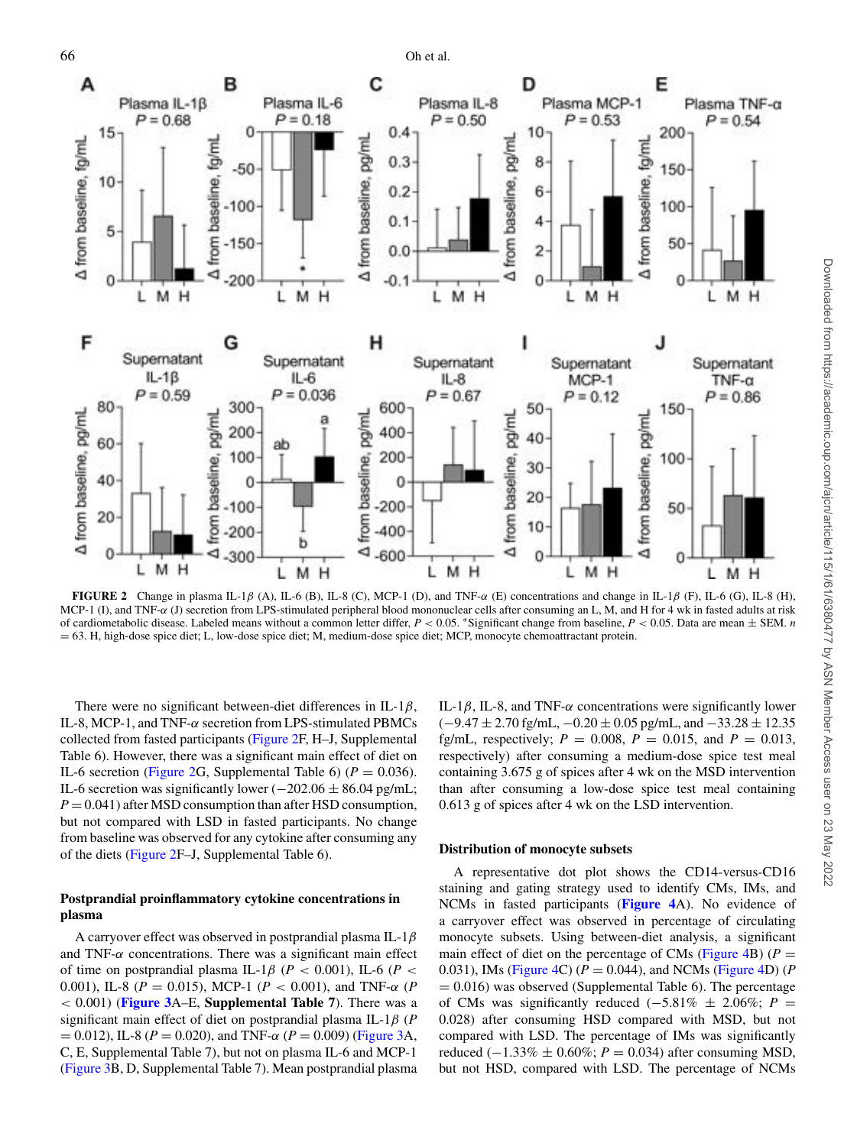<span id="page-5-0"></span>

**FIGURE 2** Change in plasma IL-1 $\beta$  (A), IL-6 (B), IL-8 (C), MCP-1 (D), and TNF- $\alpha$  (E) concentrations and change in IL-1 $\beta$  (F), IL-6 (G), IL-8 (H), MCP-1 (I), and TNF-α (J) secretion from LPS-stimulated peripheral blood mononuclear cells after consuming an L, M, and H for 4 wk in fasted adults at risk of cardiometabolic disease. Labeled means without a common letter differ, *P* < 0.05. <sup>∗</sup>Significant change from baseline, *P* < 0.05. Data are mean ± SEM. *n* = 63. H, high-dose spice diet; L, low-dose spice diet; M, medium-dose spice diet; MCP, monocyte chemoattractant protein.

There were no significant between-diet differences in IL-1 $\beta$ , IL-8, MCP-1, and TNF-α secretion from LPS-stimulated PBMCs collected from fasted participants [\(Figure 2F](#page-5-0), H–J, Supplemental Table 6). However, there was a significant main effect of diet on IL-6 secretion [\(Figure 2G](#page-5-0), Supplemental Table 6) ( $P = 0.036$ ). IL-6 secretion was significantly lower  $(-202.06 \pm 86.04 \text{ pg/mL})$ ;  $P = 0.041$ ) after MSD consumption than after HSD consumption, but not compared with LSD in fasted participants. No change from baseline was observed for any cytokine after consuming any of the diets [\(Figure 2F](#page-5-0)–J, Supplemental Table 6).

# **Postprandial proinflammatory cytokine concentrations in plasma**

A carryover effect was observed in postprandial plasma IL-1 $\beta$ and TNF- $\alpha$  concentrations. There was a significant main effect of time on postprandial plasma IL-1 $\beta$  ( $P < 0.001$ ), IL-6 ( $P <$ 0.001), IL-8 (*P* = 0.015), MCP-1 (*P* < 0.001), and TNF-α (*P* < 0.001) (**[Figure 3](#page-6-0)**A–E, **Supplemental Table 7**). There was a significant main effect of diet on postprandial plasma IL-1β (*P*  $= 0.012$ ), IL-8 ( $P = 0.020$ ), and TNF- $\alpha$  ( $P = 0.009$ ) [\(Figure 3A](#page-6-0), C, E, Supplemental Table 7), but not on plasma IL-6 and MCP-1 [\(Figure 3B](#page-6-0), D, Supplemental Table 7). Mean postprandial plasma IL-1 $\beta$ , IL-8, and TNF- $\alpha$  concentrations were significantly lower  $(-9.47 \pm 2.70 \text{ fg/mL}, -0.20 \pm 0.05 \text{ pg/mL}, \text{and } -33.28 \pm 12.35$ fg/mL, respectively;  $P = 0.008$ ,  $P = 0.015$ , and  $P = 0.013$ , respectively) after consuming a medium-dose spice test meal containing 3.675 g of spices after 4 wk on the MSD intervention than after consuming a low-dose spice test meal containing 0.613 g of spices after 4 wk on the LSD intervention.

## **Distribution of monocyte subsets**

A representative dot plot shows the CD14-versus-CD16 staining and gating strategy used to identify CMs, IMs, and NCMs in fasted participants (**[Figure 4](#page-7-0)**A). No evidence of a carryover effect was observed in percentage of circulating monocyte subsets. Using between-diet analysis, a significant main effect of diet on the percentage of CMs [\(Figure 4B](#page-7-0)) ( $P =$ 0.031), IMs [\(Figure 4C](#page-7-0)) ( $P = 0.044$ ), and NCMs [\(Figure 4D](#page-7-0)) ( $P$  $= 0.016$ ) was observed (Supplemental Table 6). The percentage of CMs was significantly reduced  $(-5.81\% \pm 2.06\%; P =$ 0.028) after consuming HSD compared with MSD, but not compared with LSD. The percentage of IMs was significantly reduced ( $-1.33\%$  ± 0.60%; *P* = 0.034) after consuming MSD, but not HSD, compared with LSD. The percentage of NCMs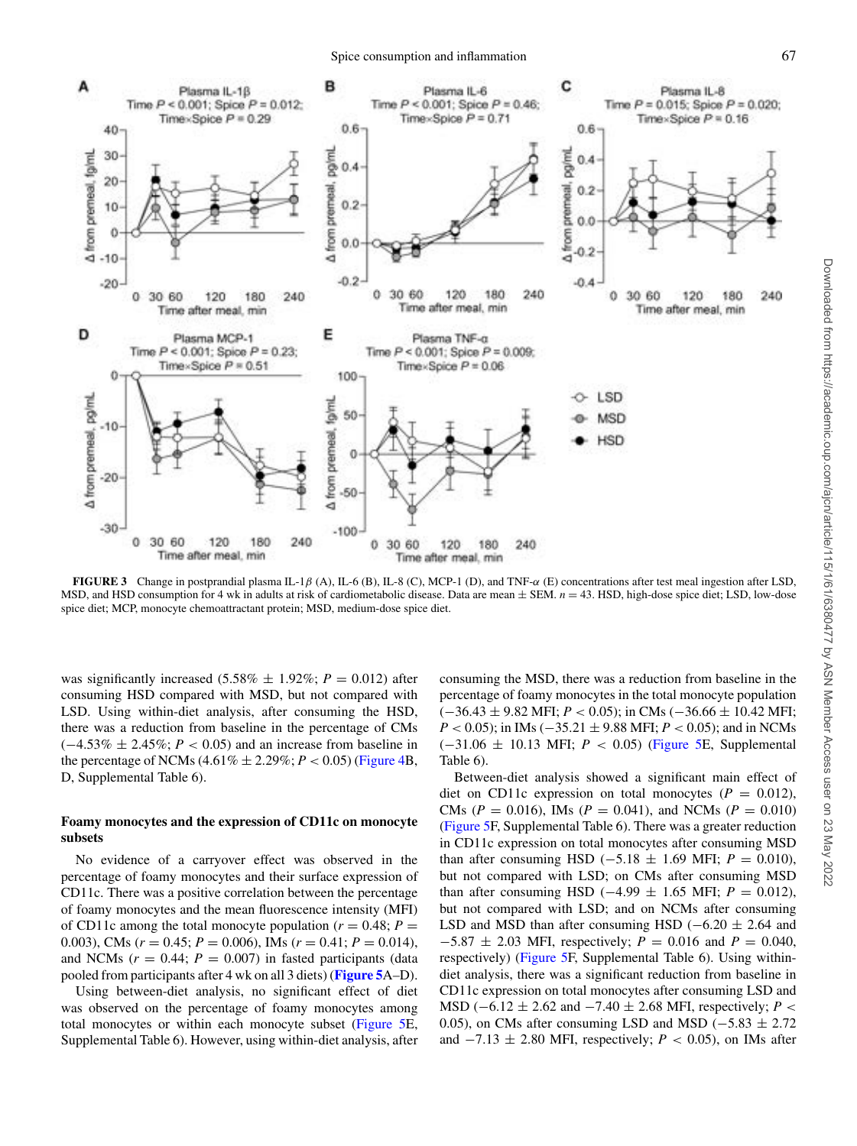<span id="page-6-0"></span>

**FIGURE 3** Change in postprandial plasma IL-1β (A), IL-6 (B), IL-8 (C), MCP-1 (D), and TNF-α (E) concentrations after test meal ingestion after LSD, MSD, and HSD consumption for 4 wk in adults at risk of cardiometabolic disease. Data are mean  $\pm$  SEM.  $n = 43$ . HSD, high-dose spice diet; LSD, low-dose spice diet; MCP, monocyte chemoattractant protein; MSD, medium-dose spice diet.

was significantly increased  $(5.58\% \pm 1.92\%; P = 0.012)$  after consuming HSD compared with MSD, but not compared with LSD. Using within-diet analysis, after consuming the HSD, there was a reduction from baseline in the percentage of CMs  $(-4.53\% \pm 2.45\%; P < 0.05)$  and an increase from baseline in the percentage of NCMs  $(4.61\% \pm 2.29\%; P < 0.05)$  [\(Figure 4B](#page-7-0), D, Supplemental Table 6).

# **Foamy monocytes and the expression of CD11c on monocyte subsets**

No evidence of a carryover effect was observed in the percentage of foamy monocytes and their surface expression of CD11c. There was a positive correlation between the percentage of foamy monocytes and the mean fluorescence intensity (MFI) of CD11c among the total monocyte population ( $r = 0.48; P =$ 0.003), CMs ( $r = 0.45$ ;  $P = 0.006$ ), IMs ( $r = 0.41$ ;  $P = 0.014$ ), and NCMs  $(r = 0.44; P = 0.007)$  in fasted participants (data pooled from participants after 4 wk on all 3 diets) (**[Figure 5](#page-8-0)**A–D).

Using between-diet analysis, no significant effect of diet was observed on the percentage of foamy monocytes among total monocytes or within each monocyte subset [\(Figure 5E](#page-8-0), Supplemental Table 6). However, using within-diet analysis, after consuming the MSD, there was a reduction from baseline in the percentage of foamy monocytes in the total monocyte population (−36.43 ± 9.82 MFI; *P* < 0.05); in CMs (−36.66 ± 10.42 MFI; *P* < 0.05); in IMs (−35.21 ± 9.88 MFI; *P* < 0.05); and in NCMs (−31.06 ± 10.13 MFI; *P* < 0.05) [\(Figure 5E](#page-8-0), Supplemental Table 6).

Between-diet analysis showed a significant main effect of diet on CD11c expression on total monocytes  $(P = 0.012)$ , CMs ( $P = 0.016$ ), IMs ( $P = 0.041$ ), and NCMs ( $P = 0.010$ ) [\(Figure 5F](#page-8-0), Supplemental Table 6). There was a greater reduction in CD11c expression on total monocytes after consuming MSD than after consuming HSD ( $-5.18 \pm 1.69$  MFI;  $P = 0.010$ ), but not compared with LSD; on CMs after consuming MSD than after consuming HSD ( $-4.99 \pm 1.65$  MFI;  $P = 0.012$ ), but not compared with LSD; and on NCMs after consuming LSD and MSD than after consuming HSD ( $-6.20 \pm 2.64$  and −5.87 ± 2.03 MFI, respectively; *P* = 0.016 and *P* = 0.040, respectively) [\(Figure 5F](#page-8-0), Supplemental Table 6). Using withindiet analysis, there was a significant reduction from baseline in CD11c expression on total monocytes after consuming LSD and MSD (−6.12 ± 2.62 and −7.40 ± 2.68 MFI, respectively; *P* < 0.05), on CMs after consuming LSD and MSD ( $-5.83 \pm 2.72$ ) and  $-7.13 \pm 2.80$  MFI, respectively; *P* < 0.05), on IMs after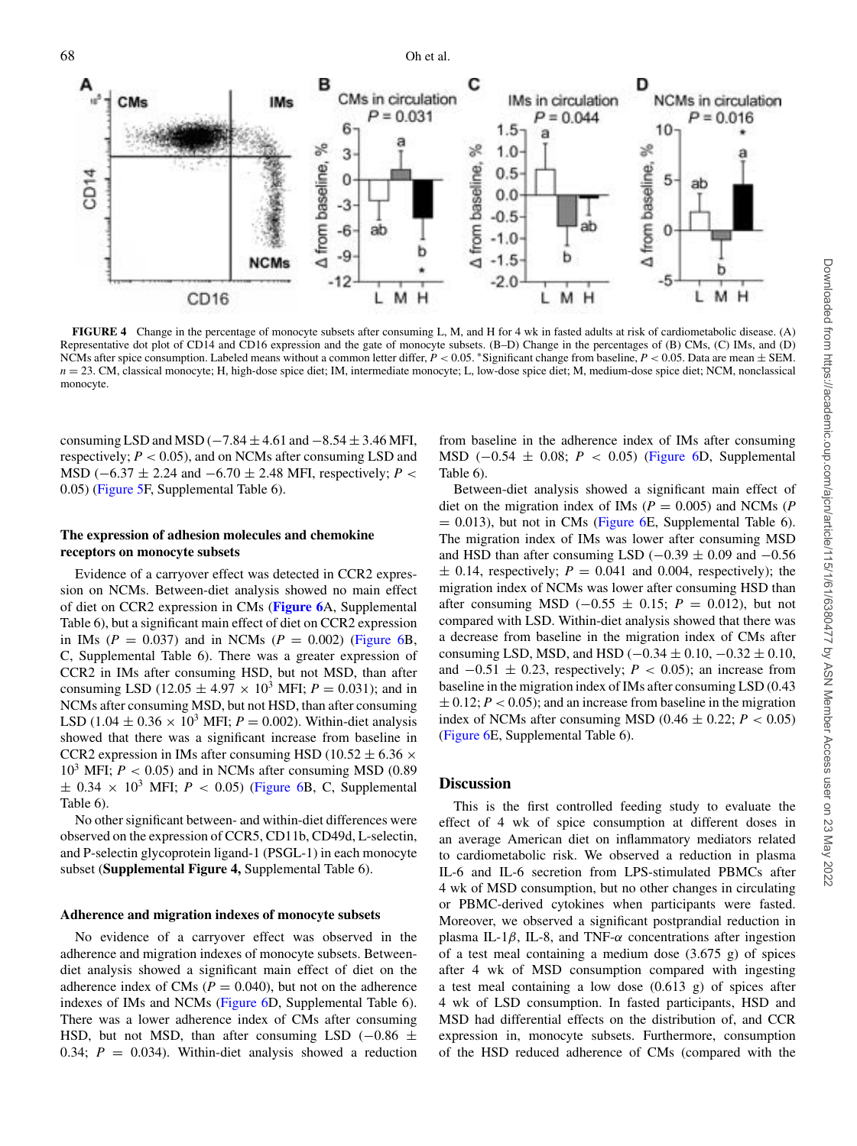<span id="page-7-0"></span>

**FIGURE 4** Change in the percentage of monocyte subsets after consuming L, M, and H for 4 wk in fasted adults at risk of cardiometabolic disease. (A) Representative dot plot of CD14 and CD16 expression and the gate of monocyte subsets. (B–D) Change in the percentages of (B) CMs, (C) IMs, and (D) NCMs after spice consumption. Labeled means without a common letter differ, *P* < 0.05. <sup>∗</sup>Significant change from baseline, *P* < 0.05. Data are mean ± SEM. *n* = 23. CM, classical monocyte; H, high-dose spice diet; IM, intermediate monocyte; L, low-dose spice diet; M, medium-dose spice diet; NCM, nonclassical monocyte.

consuming LSD and MSD ( $-7.84 \pm 4.61$  and  $-8.54 \pm 3.46$  MFI, respectively;  $P < 0.05$ ), and on NCMs after consuming LSD and MSD (−6.37 ± 2.24 and −6.70 ± 2.48 MFI, respectively; *P* < 0.05) [\(Figure 5F](#page-8-0), Supplemental Table 6).

# **The expression of adhesion molecules and chemokine receptors on monocyte subsets**

Evidence of a carryover effect was detected in CCR2 expression on NCMs. Between-diet analysis showed no main effect of diet on CCR2 expression in CMs (**[Figure 6](#page-9-0)**A, Supplemental Table 6), but a significant main effect of diet on CCR2 expression in IMs ( $P = 0.037$ ) and in NCMs ( $P = 0.002$ ) [\(Figure 6B](#page-9-0), C, Supplemental Table 6). There was a greater expression of CCR2 in IMs after consuming HSD, but not MSD, than after consuming LSD (12.05  $\pm$  4.97  $\times$  10<sup>3</sup> MFI;  $P = 0.031$ ); and in NCMs after consuming MSD, but not HSD, than after consuming LSD (1.04  $\pm$  0.36  $\times$  10<sup>3</sup> MFI; *P* = 0.002). Within-diet analysis showed that there was a significant increase from baseline in CCR2 expression in IMs after consuming HSD (10.52  $\pm$  6.36  $\times$  $10^3$  MFI;  $P < 0.05$ ) and in NCMs after consuming MSD (0.89)  $\pm$  0.34  $\times$  10<sup>3</sup> MFI; *P* < 0.05) [\(Figure 6B](#page-9-0), C, Supplemental Table 6).

No other significant between- and within-diet differences were observed on the expression of CCR5, CD11b, CD49d, L-selectin, and P-selectin glycoprotein ligand-1 (PSGL-1) in each monocyte subset (**Supplemental Figure 4,** Supplemental Table 6).

#### **Adherence and migration indexes of monocyte subsets**

No evidence of a carryover effect was observed in the adherence and migration indexes of monocyte subsets. Betweendiet analysis showed a significant main effect of diet on the adherence index of CMs ( $P = 0.040$ ), but not on the adherence indexes of IMs and NCMs [\(Figure 6D](#page-9-0), Supplemental Table 6). There was a lower adherence index of CMs after consuming HSD, but not MSD, than after consuming LSD ( $-0.86 \pm$ 0.34;  $P = 0.034$ ). Within-diet analysis showed a reduction

from baseline in the adherence index of IMs after consuming MSD (−0.54 ± 0.08; *P* < 0.05) [\(Figure 6D](#page-9-0), Supplemental Table 6).

Between-diet analysis showed a significant main effect of diet on the migration index of IMs  $(P = 0.005)$  and NCMs  $(P)$  $= 0.013$ ), but not in CMs [\(Figure 6E](#page-9-0), Supplemental Table 6). The migration index of IMs was lower after consuming MSD and HSD than after consuming LSD ( $-0.39 \pm 0.09$  and  $-0.56$  $\pm$  0.14, respectively;  $P = 0.041$  and 0.004, respectively); the migration index of NCMs was lower after consuming HSD than after consuming MSD ( $-0.55 \pm 0.15$ ; *P* = 0.012), but not compared with LSD. Within-diet analysis showed that there was a decrease from baseline in the migration index of CMs after consuming LSD, MSD, and HSD  $(-0.34 \pm 0.10, -0.32 \pm 0.10,$ and  $-0.51 \pm 0.23$ , respectively; *P* < 0.05); an increase from baseline in the migration index of IMs after consuming LSD (0.43  $\pm$  0.12; *P* < 0.05); and an increase from baseline in the migration index of NCMs after consuming MSD  $(0.46 \pm 0.22; P < 0.05)$ [\(Figure](#page-9-0) 6E, Supplemental Table 6).

# **Discussion**

This is the first controlled feeding study to evaluate the effect of 4 wk of spice consumption at different doses in an average American diet on inflammatory mediators related to cardiometabolic risk. We observed a reduction in plasma IL-6 and IL-6 secretion from LPS-stimulated PBMCs after 4 wk of MSD consumption, but no other changes in circulating or PBMC-derived cytokines when participants were fasted. Moreover, we observed a significant postprandial reduction in plasma IL-1 $\beta$ , IL-8, and TNF- $\alpha$  concentrations after ingestion of a test meal containing a medium dose (3.675 g) of spices after 4 wk of MSD consumption compared with ingesting a test meal containing a low dose (0.613 g) of spices after 4 wk of LSD consumption. In fasted participants, HSD and MSD had differential effects on the distribution of, and CCR expression in, monocyte subsets. Furthermore, consumption of the HSD reduced adherence of CMs (compared with the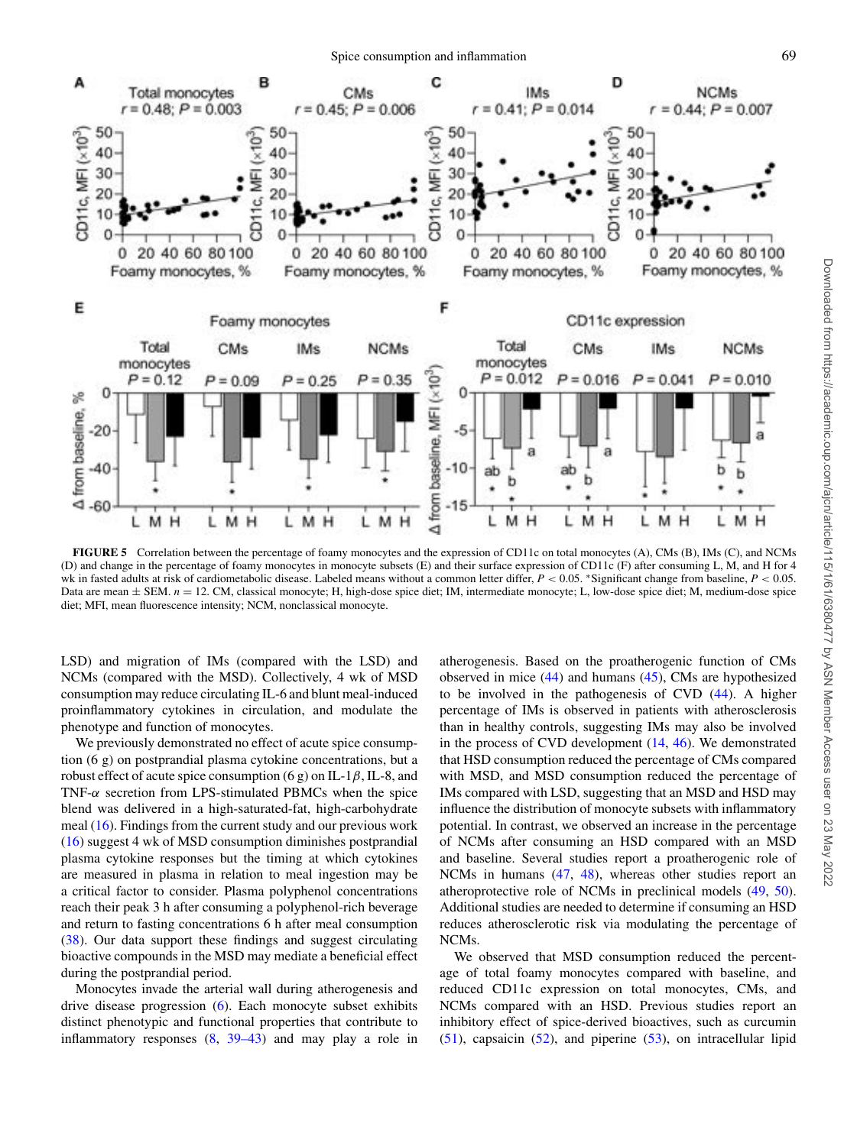<span id="page-8-0"></span>

**FIGURE 5** Correlation between the percentage of foamy monocytes and the expression of CD11c on total monocytes (A), CMs (B), IMs (C), and NCMs (D) and change in the percentage of foamy monocytes in monocyte subsets (E) and their surface expression of CD11c (F) after consuming L, M, and H for 4 wk in fasted adults at risk of cardiometabolic disease. Labeled means without a common letter differ, *P* < 0.05. ∗Significant change from baseline, *P* < 0.05. Data are mean  $\pm$  SEM.  $n = 12$ . CM, classical monocyte; H, high-dose spice diet; IM, intermediate monocyte; L, low-dose spice diet; M, medium-dose spice diet; MFI, mean fluorescence intensity; NCM, nonclassical monocyte.

LSD) and migration of IMs (compared with the LSD) and NCMs (compared with the MSD). Collectively, 4 wk of MSD consumption may reduce circulating IL-6 and blunt meal-induced proinflammatory cytokines in circulation, and modulate the phenotype and function of monocytes.

We previously demonstrated no effect of acute spice consumption (6 g) on postprandial plasma cytokine concentrations, but a robust effect of acute spice consumption (6 g) on IL-1 $\beta$ , IL-8, and TNF- $\alpha$  secretion from LPS-stimulated PBMCs when the spice blend was delivered in a high-saturated-fat, high-carbohydrate meal [\(16\)](#page-10-15). Findings from the current study and our previous work [\(16\)](#page-10-15) suggest 4 wk of MSD consumption diminishes postprandial plasma cytokine responses but the timing at which cytokines are measured in plasma in relation to meal ingestion may be a critical factor to consider. Plasma polyphenol concentrations reach their peak 3 h after consuming a polyphenol-rich beverage and return to fasting concentrations 6 h after meal consumption [\(38\)](#page-11-4). Our data support these findings and suggest circulating bioactive compounds in the MSD may mediate a beneficial effect during the postprandial period.

Monocytes invade the arterial wall during atherogenesis and drive disease progression [\(6\)](#page-10-5). Each monocyte subset exhibits distinct phenotypic and functional properties that contribute to inflammatory responses [\(8,](#page-10-7) [39–43\)](#page-11-5) and may play a role in atherogenesis. Based on the proatherogenic function of CMs observed in mice [\(44\)](#page-11-6) and humans [\(45\)](#page-11-7), CMs are hypothesized to be involved in the pathogenesis of CVD [\(44\)](#page-11-6). A higher percentage of IMs is observed in patients with atherosclerosis than in healthy controls, suggesting IMs may also be involved in the process of CVD development [\(14,](#page-10-13) [46\)](#page-11-8). We demonstrated that HSD consumption reduced the percentage of CMs compared with MSD, and MSD consumption reduced the percentage of IMs compared with LSD, suggesting that an MSD and HSD may influence the distribution of monocyte subsets with inflammatory potential. In contrast, we observed an increase in the percentage of NCMs after consuming an HSD compared with an MSD and baseline. Several studies report a proatherogenic role of NCMs in humans [\(47,](#page-11-9) [48\)](#page-11-10), whereas other studies report an atheroprotective role of NCMs in preclinical models [\(49,](#page-11-11) [50\)](#page-11-12). Additional studies are needed to determine if consuming an HSD reduces atherosclerotic risk via modulating the percentage of NCMs.

We observed that MSD consumption reduced the percentage of total foamy monocytes compared with baseline, and reduced CD11c expression on total monocytes, CMs, and NCMs compared with an HSD. Previous studies report an inhibitory effect of spice-derived bioactives, such as curcumin  $(51)$ , capsaicin  $(52)$ , and piperine  $(53)$ , on intracellular lipid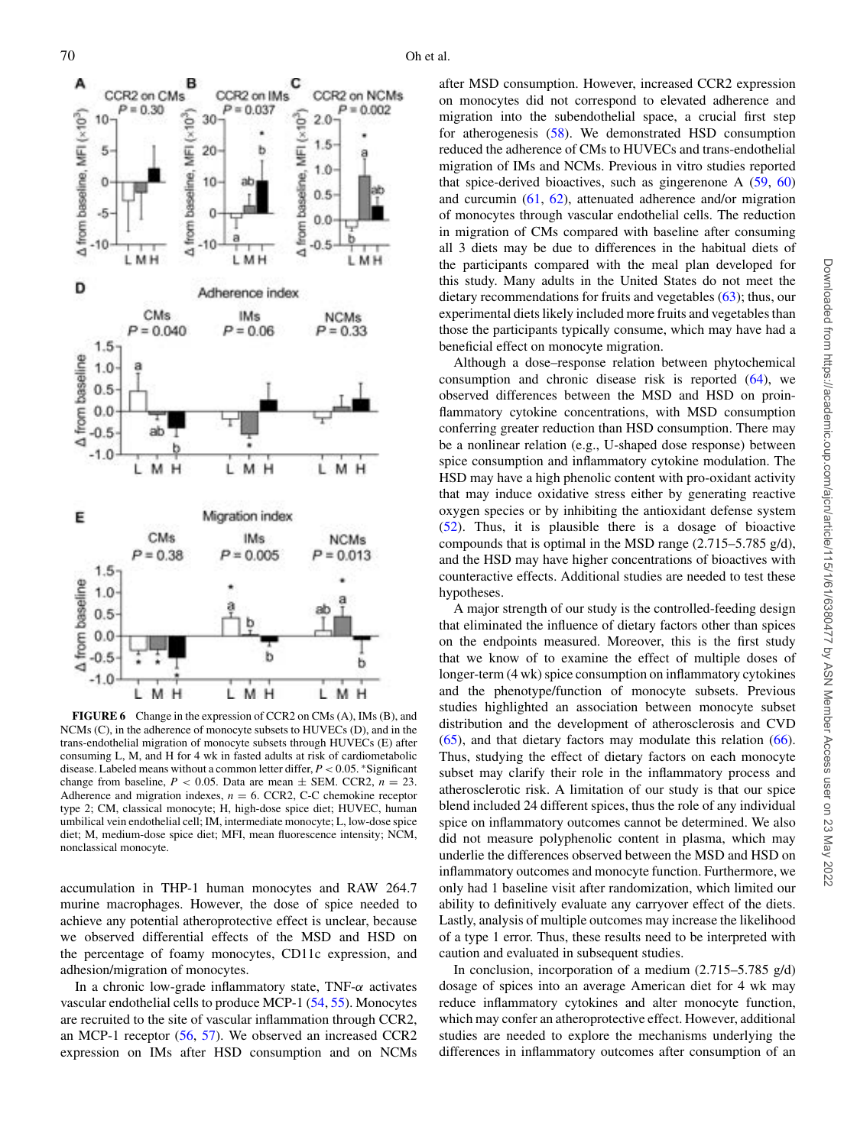<span id="page-9-0"></span>

**FIGURE 6** Change in the expression of CCR2 on CMs (A), IMs (B), and NCMs (C), in the adherence of monocyte subsets to HUVECs (D), and in the trans-endothelial migration of monocyte subsets through HUVECs (E) after consuming L, M, and H for 4 wk in fasted adults at risk of cardiometabolic disease. Labeled means without a common letter differ, *P* < 0.05. ∗Significant change from baseline,  $P < 0.05$ . Data are mean  $\pm$  SEM. CCR2,  $n = 23$ . Adherence and migration indexes,  $n = 6$ . CCR2, C-C chemokine receptor type 2; CM, classical monocyte; H, high-dose spice diet; HUVEC, human umbilical vein endothelial cell; IM, intermediate monocyte; L, low-dose spice diet; M, medium-dose spice diet; MFI, mean fluorescence intensity; NCM, nonclassical monocyte.

accumulation in THP-1 human monocytes and RAW 264.7 murine macrophages. However, the dose of spice needed to achieve any potential atheroprotective effect is unclear, because we observed differential effects of the MSD and HSD on the percentage of foamy monocytes, CD11c expression, and adhesion/migration of monocytes.

In a chronic low-grade inflammatory state, TNF- $\alpha$  activates vascular endothelial cells to produce MCP-1 [\(54,](#page-11-16) [55\)](#page-11-17). Monocytes are recruited to the site of vascular inflammation through CCR2, an MCP-1 receptor [\(56,](#page-11-18) [57\)](#page-11-19). We observed an increased CCR2 expression on IMs after HSD consumption and on NCMs

after MSD consumption. However, increased CCR2 expression on monocytes did not correspond to elevated adherence and migration into the subendothelial space, a crucial first step for atherogenesis [\(58\)](#page-11-20). We demonstrated HSD consumption reduced the adherence of CMs to HUVECs and trans-endothelial migration of IMs and NCMs. Previous in vitro studies reported that spice-derived bioactives, such as gingerenone A [\(59,](#page-11-21) [60\)](#page-11-22) and curcumin [\(61,](#page-11-23) [62\)](#page-11-24), attenuated adherence and/or migration of monocytes through vascular endothelial cells. The reduction in migration of CMs compared with baseline after consuming all 3 diets may be due to differences in the habitual diets of the participants compared with the meal plan developed for this study. Many adults in the United States do not meet the dietary recommendations for fruits and vegetables [\(63\)](#page-11-25); thus, our experimental diets likely included more fruits and vegetables than those the participants typically consume, which may have had a beneficial effect on monocyte migration.

Although a dose–response relation between phytochemical consumption and chronic disease risk is reported  $(64)$ , we observed differences between the MSD and HSD on proinflammatory cytokine concentrations, with MSD consumption conferring greater reduction than HSD consumption. There may be a nonlinear relation (e.g., U-shaped dose response) between spice consumption and inflammatory cytokine modulation. The HSD may have a high phenolic content with pro-oxidant activity that may induce oxidative stress either by generating reactive oxygen species or by inhibiting the antioxidant defense system [\(52\)](#page-11-14). Thus, it is plausible there is a dosage of bioactive compounds that is optimal in the MSD range (2.715–5.785 g/d), and the HSD may have higher concentrations of bioactives with counteractive effects. Additional studies are needed to test these hypotheses.

A major strength of our study is the controlled-feeding design that eliminated the influence of dietary factors other than spices on the endpoints measured. Moreover, this is the first study that we know of to examine the effect of multiple doses of longer-term (4 wk) spice consumption on inflammatory cytokines and the phenotype/function of monocyte subsets. Previous studies highlighted an association between monocyte subset distribution and the development of atherosclerosis and CVD  $(65)$ , and that dietary factors may modulate this relation  $(66)$ . Thus, studying the effect of dietary factors on each monocyte subset may clarify their role in the inflammatory process and atherosclerotic risk. A limitation of our study is that our spice blend included 24 different spices, thus the role of any individual spice on inflammatory outcomes cannot be determined. We also did not measure polyphenolic content in plasma, which may underlie the differences observed between the MSD and HSD on inflammatory outcomes and monocyte function. Furthermore, we only had 1 baseline visit after randomization, which limited our ability to definitively evaluate any carryover effect of the diets. Lastly, analysis of multiple outcomes may increase the likelihood of a type 1 error. Thus, these results need to be interpreted with caution and evaluated in subsequent studies.

In conclusion, incorporation of a medium (2.715–5.785 g/d) dosage of spices into an average American diet for 4 wk may reduce inflammatory cytokines and alter monocyte function, which may confer an atheroprotective effect. However, additional studies are needed to explore the mechanisms underlying the differences in inflammatory outcomes after consumption of an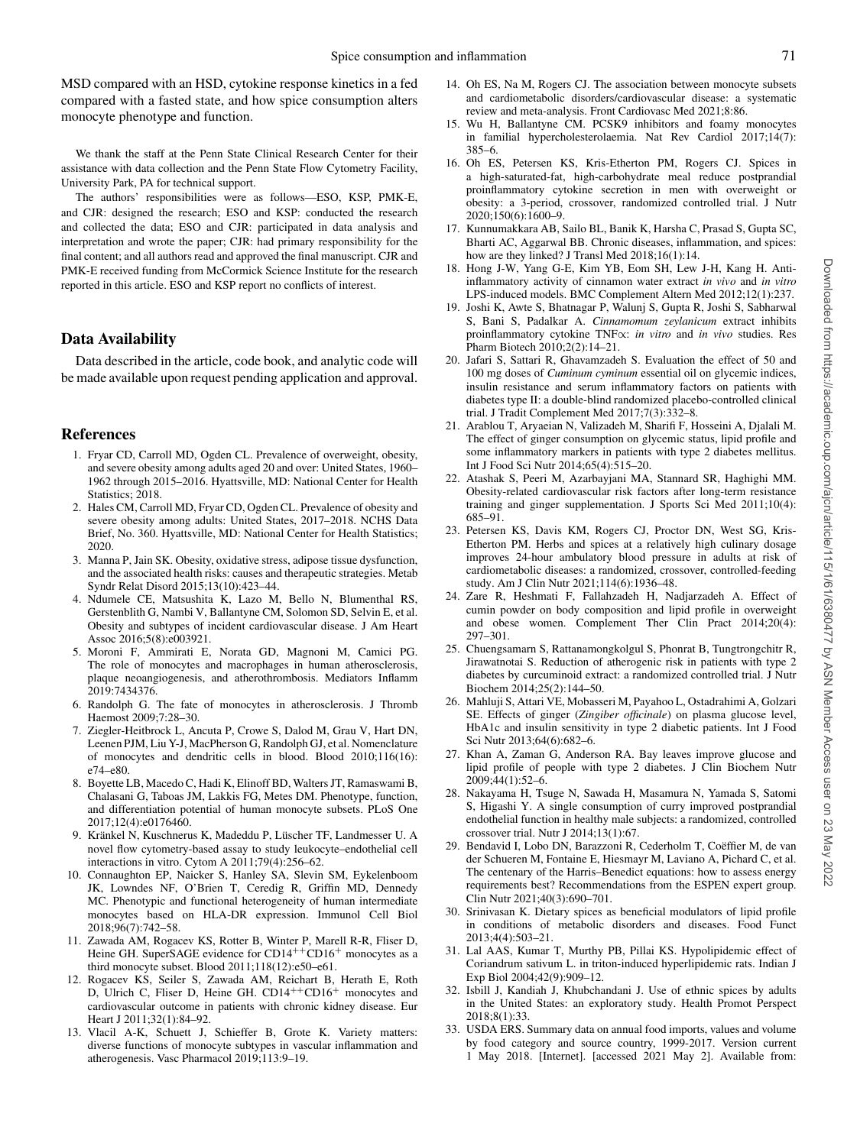MSD compared with an HSD, cytokine response kinetics in a fed compared with a fasted state, and how spice consumption alters monocyte phenotype and function.

We thank the staff at the Penn State Clinical Research Center for their assistance with data collection and the Penn State Flow Cytometry Facility, University Park, PA for technical support.

The authors' responsibilities were as follows—ESO, KSP, PMK-E, and CJR: designed the research; ESO and KSP: conducted the research and collected the data; ESO and CJR: participated in data analysis and interpretation and wrote the paper; CJR: had primary responsibility for the final content; and all authors read and approved the final manuscript. CJR and PMK-E received funding from McCormick Science Institute for the research reported in this article. ESO and KSP report no conflicts of interest.

## **Data Availability**

Data described in the article, code book, and analytic code will be made available upon request pending application and approval.

## **References**

- <span id="page-10-0"></span>1. Fryar CD, Carroll MD, Ogden CL. Prevalence of overweight, obesity, and severe obesity among adults aged 20 and over: United States, 1960– 1962 through 2015–2016. Hyattsville, MD: National Center for Health Statistics; 2018.
- <span id="page-10-1"></span>2. Hales CM, Carroll MD, Fryar CD, Ogden CL. Prevalence of obesity and severe obesity among adults: United States, 2017–2018. NCHS Data Brief, No. 360. Hyattsville, MD: National Center for Health Statistics; 2020.
- <span id="page-10-2"></span>3. Manna P, Jain SK. Obesity, oxidative stress, adipose tissue dysfunction, and the associated health risks: causes and therapeutic strategies. Metab Syndr Relat Disord 2015;13(10):423–44.
- <span id="page-10-3"></span>4. Ndumele CE, Matsushita K, Lazo M, Bello N, Blumenthal RS, Gerstenblith G, Nambi V, Ballantyne CM, Solomon SD, Selvin E, et al. Obesity and subtypes of incident cardiovascular disease. J Am Heart Assoc 2016;5(8):e003921.
- <span id="page-10-4"></span>5. Moroni F, Ammirati E, Norata GD, Magnoni M, Camici PG. The role of monocytes and macrophages in human atherosclerosis, plaque neoangiogenesis, and atherothrombosis. Mediators Inflamm 2019:7434376.
- <span id="page-10-5"></span>6. Randolph G. The fate of monocytes in atherosclerosis. J Thromb Haemost 2009;7:28–30.
- <span id="page-10-6"></span>7. Ziegler-Heitbrock L, Ancuta P, Crowe S, Dalod M, Grau V, Hart DN, Leenen PJM, Liu Y-J, MacPherson G, Randolph GJ, et al. Nomenclature of monocytes and dendritic cells in blood. Blood 2010;116(16): e74–e80.
- <span id="page-10-7"></span>8. Boyette LB, Macedo C, Hadi K, Elinoff BD, Walters JT, Ramaswami B, Chalasani G, Taboas JM, Lakkis FG, Metes DM. Phenotype, function, and differentiation potential of human monocyte subsets. PLoS One 2017;12(4):e0176460.
- <span id="page-10-8"></span>9. Kränkel N, Kuschnerus K, Madeddu P, Lüscher TF, Landmesser U. A novel flow cytometry-based assay to study leukocyte–endothelial cell interactions in vitro. Cytom A 2011;79(4):256–62.
- <span id="page-10-9"></span>10. Connaughton EP, Naicker S, Hanley SA, Slevin SM, Eykelenboom JK, Lowndes NF, O'Brien T, Ceredig R, Griffin MD, Dennedy MC. Phenotypic and functional heterogeneity of human intermediate monocytes based on HLA-DR expression. Immunol Cell Biol 2018;96(7):742–58.
- <span id="page-10-10"></span>11. Zawada AM, Rogacev KS, Rotter B, Winter P, Marell R-R, Fliser D, Heine GH. SuperSAGE evidence for CD14<sup>++</sup>CD16<sup>+</sup> monocytes as a third monocyte subset. Blood 2011;118(12):e50–e61.
- <span id="page-10-11"></span>12. Rogacev KS, Seiler S, Zawada AM, Reichart B, Herath E, Roth D, Ulrich C, Fliser D, Heine GH. CD14++CD16+ monocytes and cardiovascular outcome in patients with chronic kidney disease. Eur Heart J 2011;32(1):84–92.
- <span id="page-10-12"></span>13. Vlacil A-K, Schuett J, Schieffer B, Grote K. Variety matters: diverse functions of monocyte subtypes in vascular inflammation and atherogenesis. Vasc Pharmacol 2019;113:9–19.
- <span id="page-10-13"></span>14. Oh ES, Na M, Rogers CJ. The association between monocyte subsets and cardiometabolic disorders/cardiovascular disease: a systematic review and meta-analysis. Front Cardiovasc Med 2021;8:86.
- <span id="page-10-14"></span>15. Wu H, Ballantyne CM. PCSK9 inhibitors and foamy monocytes in familial hypercholesterolaemia. Nat Rev Cardiol 2017;14(7): 385–6.
- <span id="page-10-15"></span>16. Oh ES, Petersen KS, Kris-Etherton PM, Rogers CJ. Spices in a high-saturated-fat, high-carbohydrate meal reduce postprandial proinflammatory cytokine secretion in men with overweight or obesity: a 3-period, crossover, randomized controlled trial. J Nutr 2020;150(6):1600–9.
- <span id="page-10-16"></span>17. Kunnumakkara AB, Sailo BL, Banik K, Harsha C, Prasad S, Gupta SC, Bharti AC, Aggarwal BB. Chronic diseases, inflammation, and spices: how are they linked? J Transl Med 2018;16(1):14.
- <span id="page-10-17"></span>18. Hong J-W, Yang G-E, Kim YB, Eom SH, Lew J-H, Kang H. Antiinflammatory activity of cinnamon water extract *in vivo* and *in vitro* LPS-induced models. BMC Complement Altern Med 2012;12(1):237.
- <span id="page-10-18"></span>19. Joshi K, Awte S, Bhatnagar P, Walunj S, Gupta R, Joshi S, Sabharwal S, Bani S, Padalkar A. *Cinnamomum zeylanicum* extract inhibits proinflammatory cytokine TNF∝: *in vitro* and *in vivo* studies. Res Pharm Biotech 2010;2(2):14–21.
- <span id="page-10-19"></span>20. Jafari S, Sattari R, Ghavamzadeh S. Evaluation the effect of 50 and 100 mg doses of *Cuminum cyminum* essential oil on glycemic indices, insulin resistance and serum inflammatory factors on patients with diabetes type II: a double-blind randomized placebo-controlled clinical trial. J Tradit Complement Med 2017;7(3):332–8.
- <span id="page-10-20"></span>21. Arablou T, Aryaeian N, Valizadeh M, Sharifi F, Hosseini A, Djalali M. The effect of ginger consumption on glycemic status, lipid profile and some inflammatory markers in patients with type 2 diabetes mellitus. Int J Food Sci Nutr 2014;65(4):515–20.
- <span id="page-10-21"></span>22. Atashak S, Peeri M, Azarbayjani MA, Stannard SR, Haghighi MM. Obesity-related cardiovascular risk factors after long-term resistance training and ginger supplementation. J Sports Sci Med 2011;10(4): 685–91.
- <span id="page-10-22"></span>23. Petersen KS, Davis KM, Rogers CJ, Proctor DN, West SG, Kris-Etherton PM. Herbs and spices at a relatively high culinary dosage improves 24-hour ambulatory blood pressure in adults at risk of cardiometabolic diseases: a randomized, crossover, controlled-feeding study. Am J Clin Nutr 2021;114(6):1936–48.
- <span id="page-10-23"></span>24. Zare R, Heshmati F, Fallahzadeh H, Nadjarzadeh A. Effect of cumin powder on body composition and lipid profile in overweight and obese women. Complement Ther Clin Pract 2014;20(4): 297–301.
- 25. Chuengsamarn S, Rattanamongkolgul S, Phonrat B, Tungtrongchitr R, Jirawatnotai S. Reduction of atherogenic risk in patients with type 2 diabetes by curcuminoid extract: a randomized controlled trial. J Nutr Biochem 2014;25(2):144–50.
- 26. Mahluji S, Attari VE, Mobasseri M, Payahoo L, Ostadrahimi A, Golzari SE. Effects of ginger (*Zingiber officinale*) on plasma glucose level, HbA1c and insulin sensitivity in type 2 diabetic patients. Int J Food Sci Nutr 2013;64(6):682–6.
- <span id="page-10-25"></span>27. Khan A, Zaman G, Anderson RA. Bay leaves improve glucose and lipid profile of people with type 2 diabetes. J Clin Biochem Nutr 2009;44(1):52–6.
- 28. Nakayama H, Tsuge N, Sawada H, Masamura N, Yamada S, Satomi S, Higashi Y. A single consumption of curry improved postprandial endothelial function in healthy male subjects: a randomized, controlled crossover trial. Nutr J 2014;13(1):67.
- <span id="page-10-24"></span>29. Bendavid I, Lobo DN, Barazzoni R, Cederholm T, Coëffier M, de van der Schueren M, Fontaine E, Hiesmayr M, Laviano A, Pichard C, et al. The centenary of the Harris–Benedict equations: how to assess energy requirements best? Recommendations from the ESPEN expert group. Clin Nutr 2021;40(3):690–701.
- <span id="page-10-26"></span>30. Srinivasan K. Dietary spices as beneficial modulators of lipid profile in conditions of metabolic disorders and diseases. Food Funct 2013;4(4):503–21.
- <span id="page-10-27"></span>31. Lal AAS, Kumar T, Murthy PB, Pillai KS. Hypolipidemic effect of Coriandrum sativum L. in triton-induced hyperlipidemic rats. Indian J Exp Biol 2004;42(9):909–12.
- <span id="page-10-28"></span>32. Isbill J, Kandiah J, Khubchandani J. Use of ethnic spices by adults in the United States: an exploratory study. Health Promot Perspect 2018;8(1):33.
- <span id="page-10-29"></span>33. USDA ERS. Summary data on annual food imports, values and volume by food category and source country, 1999-2017. Version current 1 May 2018. [Internet]. [accessed 2021 May 2]. Available from: